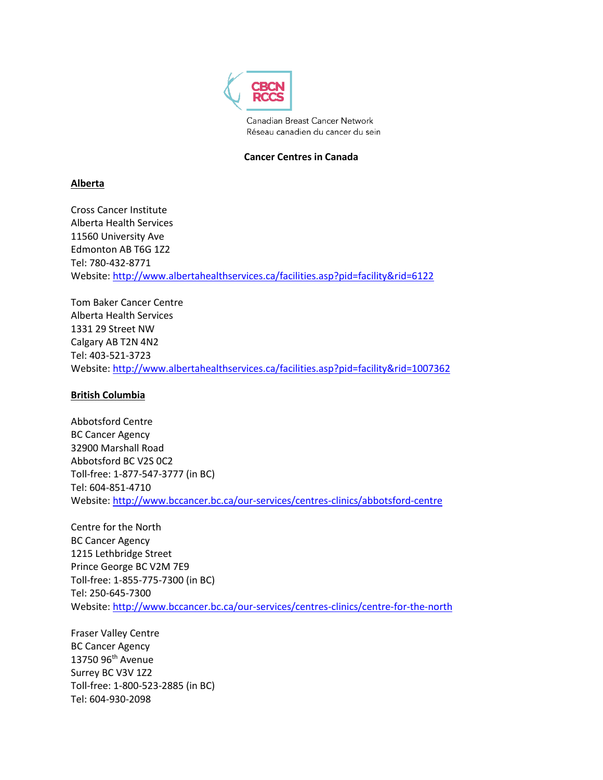

Canadian Breast Cancer Network Réseau canadien du cancer du sein

# **Cancer Centres in Canada**

# **Alberta**

Cross Cancer Institute Alberta Health Services 11560 University Ave Edmonton AB T6G 1Z2 Tel: 780-432-8771 Website[: http://www.albertahealthservices.ca/facilities.asp?pid=facility&rid=6122](http://www.albertahealthservices.ca/facilities.asp?pid=facility&rid=6122)

Tom Baker Cancer Centre Alberta Health Services 1331 29 Street NW Calgary AB T2N 4N2 Tel: 403-521-3723 Website[: http://www.albertahealthservices.ca/facilities.asp?pid=facility&rid=1007362](http://www.albertahealthservices.ca/facilities.asp?pid=facility&rid=1007362)

# **British Columbia**

Abbotsford Centre BC Cancer Agency 32900 Marshall Road Abbotsford BC V2S 0C2 Toll-free: 1-877-547-3777 (in BC) Tel: 604-851-4710 Website[: http://www.bccancer.bc.ca/our-services/centres-clinics/abbotsford-centre](http://www.bccancer.bc.ca/our-services/centres-clinics/abbotsford-centre)

Centre for the North BC Cancer Agency 1215 Lethbridge Street Prince George BC V2M 7E9 Toll-free: 1-855-775-7300 (in BC) Tel: 250-645-7300 Website: http://www.bccancer.bc.ca/our-services/centres-clinics/centre-for-the-north

Fraser Valley Centre BC Cancer Agency 13750 96th Avenue Surrey BC V3V 1Z2 Toll-free: 1-800-523-2885 (in BC) Tel: 604-930-2098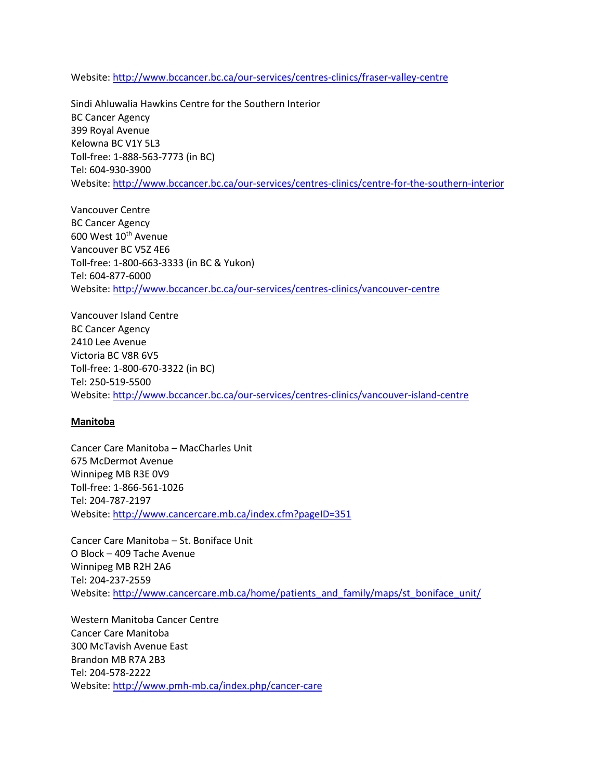Website: http://www.bccancer.bc.ca/our-services/centres-clinics/fraser-valley-centre

Sindi Ahluwalia Hawkins Centre for the Southern Interior BC Cancer Agency 399 Royal Avenue Kelowna BC V1Y 5L3 Toll-free: 1-888-563-7773 (in BC) Tel: 604-930-3900 Website: http://www.bccancer.bc.ca/our-services/centres-clinics/centre-for-the-southern-interior

Vancouver Centre BC Cancer Agency 600 West 10<sup>th</sup> Avenue Vancouver BC V5Z 4E6 Toll-free: 1-800-663-3333 (in BC & Yukon) Tel: 604-877-6000 Website: <http://www.bccancer.bc.ca/our-services/centres-clinics/vancouver-centre>

Vancouver Island Centre BC Cancer Agency 2410 Lee Avenue Victoria BC V8R 6V5 Toll-free: 1-800-670-3322 (in BC) Tel: 250-519-5500 Website: http://www.bccancer.bc.ca/our-services/centres-clinics/vancouver-island-centre

#### **Manitoba**

Cancer Care Manitoba – MacCharles Unit 675 McDermot Avenue Winnipeg MB R3E 0V9 Toll-free: 1-866-561-1026 Tel: 204-787-2197 Website[: http://www.cancercare.mb.ca/index.cfm?pageID=351](http://www.cancercare.mb.ca/index.cfm?pageID=351)

Cancer Care Manitoba – St. Boniface Unit O Block – 409 Tache Avenue Winnipeg MB R2H 2A6 Tel: 204-237-2559 Website[: http://www.cancercare.mb.ca/home/patients\\_and\\_family/maps/st\\_boniface\\_unit/](http://www.cancercare.mb.ca/home/patients_and_family/maps/st_boniface_unit/)

Western Manitoba Cancer Centre Cancer Care Manitoba 300 McTavish Avenue East Brandon MB R7A 2B3 Tel: 204-578-2222 Website: http://www.pmh-mb.ca/index.php/cancer-care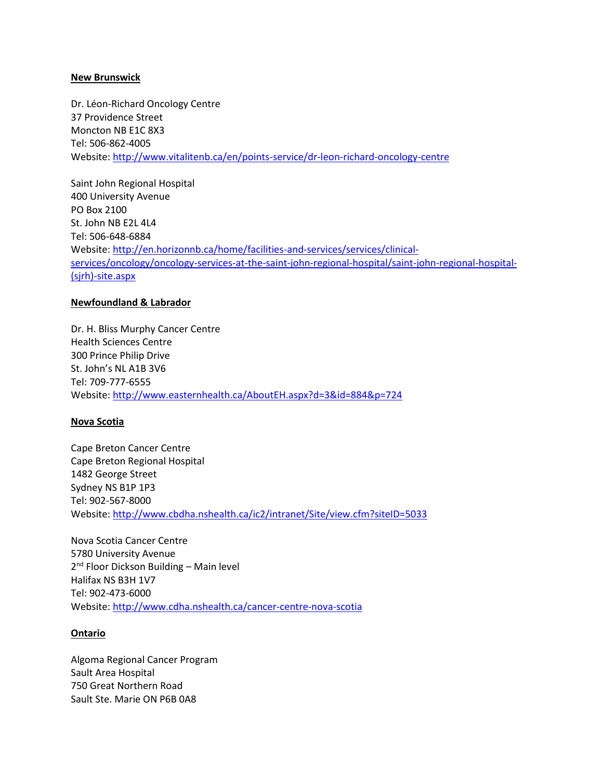#### **New Brunswick**

Dr. Léon-Richard Oncology Centre 37 Providence Street Moncton NB E1C 8X3 Tel: 506-862-4005 Website[: http://www.vitalitenb.ca/en/points-service/dr-leon-richard-oncology-centre](http://www.vitalitenb.ca/en/points-service/dr-leon-richard-oncology-centre)

Saint John Regional Hospital 400 University Avenue PO Box 2100 St. John NB E2L 4L4 Tel: 506-648-6884 Website[: http://en.horizonnb.ca/home/facilities-and-services/services/clinical](http://en.horizonnb.ca/home/facilities-and-services/services/clinical-services/oncology/oncology-services-at-the-saint-john-regional-hospital/saint-john-regional-hospital-(sjrh)-site.aspx)[services/oncology/oncology-services-at-the-saint-john-regional-hospital/saint-john-regional-hospital-](http://en.horizonnb.ca/home/facilities-and-services/services/clinical-services/oncology/oncology-services-at-the-saint-john-regional-hospital/saint-john-regional-hospital-(sjrh)-site.aspx) [\(sjrh\)-site.aspx](http://en.horizonnb.ca/home/facilities-and-services/services/clinical-services/oncology/oncology-services-at-the-saint-john-regional-hospital/saint-john-regional-hospital-(sjrh)-site.aspx)

#### **Newfoundland & Labrador**

Dr. H. Bliss Murphy Cancer Centre Health Sciences Centre 300 Prince Philip Drive St. John's NL A1B 3V6 Tel: 709-777-6555 Website[: http://www.easternhealth.ca/AboutEH.aspx?d=3&id=884&p=724](http://www.easternhealth.ca/AboutEH.aspx?d=3&id=884&p=724)

#### **Nova Scotia**

Cape Breton Cancer Centre Cape Breton Regional Hospital 1482 George Street Sydney NS B1P 1P3 Tel: 902-567-8000 Website[: http://www.cbdha.nshealth.ca/ic2/intranet/Site/view.cfm?siteID=5033](http://www.cbdha.nshealth.ca/ic2/intranet/Site/view.cfm?siteID=5033)

Nova Scotia Cancer Centre 5780 University Avenue 2<sup>nd</sup> Floor Dickson Building - Main level Halifax NS B3H 1V7 Tel: 902-473-6000 Website[: http://www.cdha.nshealth.ca/cancer-centre-nova-scotia](http://www.cdha.nshealth.ca/cancer-centre-nova-scotia)

### **Ontario**

Algoma Regional Cancer Program Sault Area Hospital 750 Great Northern Road Sault Ste. Marie ON P6B 0A8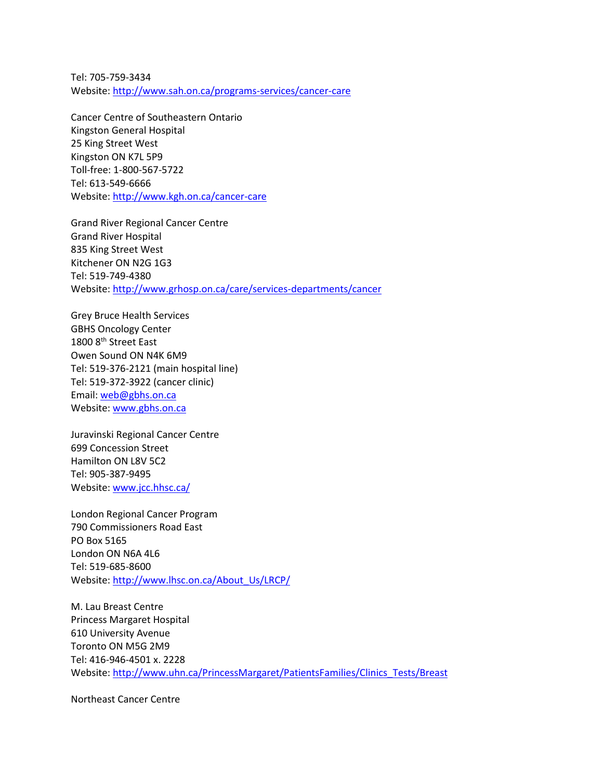Tel: 705-759-3434 Website[: http://www.sah.on.ca/programs-services/cancer-care](http://www.sah.on.ca/programs-services/cancer-care) 

Cancer Centre of Southeastern Ontario Kingston General Hospital 25 King Street West Kingston ON K7L 5P9 Toll-free: 1-800-567-5722 Tel: 613-549-6666 Website: http://www.kgh.on.ca/cancer-care

Grand River Regional Cancer Centre Grand River Hospital 835 King Street West Kitchener ON N2G 1G3 Tel: 519-749-4380 Website[: http://www.grhosp.on.ca/care/services-departments/cancer](http://www.grhosp.on.ca/care/services-departments/cancer)

Grey Bruce Health Services GBHS Oncology Center 1800 8<sup>th</sup> Street East Owen Sound ON N4K 6M9 Tel: 519-376-2121 (main hospital line) Tel: 519-372-3922 (cancer clinic) Email: [web@gbhs.on.ca](mailto:web@gbhs.on.ca) Website[: www.gbhs.on.ca](http://www.gbhs.on.ca/)

Juravinski Regional Cancer Centre 699 Concession Street Hamilton ON L8V 5C2 Tel: 905-387-9495 Website[: www.jcc.hhsc.ca/](http://www.jcc.hhsc.ca/)

London Regional Cancer Program 790 Commissioners Road East PO Box 5165 London ON N6A 4L6 Tel: 519-685-8600 Website: http://www.lhsc.on.ca/About\_Us/LRCP/

M. Lau Breast Centre Princess Margaret Hospital 610 University Avenue Toronto ON M5G 2M9 Tel: 416-946-4501 x. 2228 Website[: http://www.uhn.ca/PrincessMargaret/PatientsFamilies/Clinics\\_Tests/Breast](http://www.uhn.ca/PrincessMargaret/PatientsFamilies/Clinics_Tests/Breast)

Northeast Cancer Centre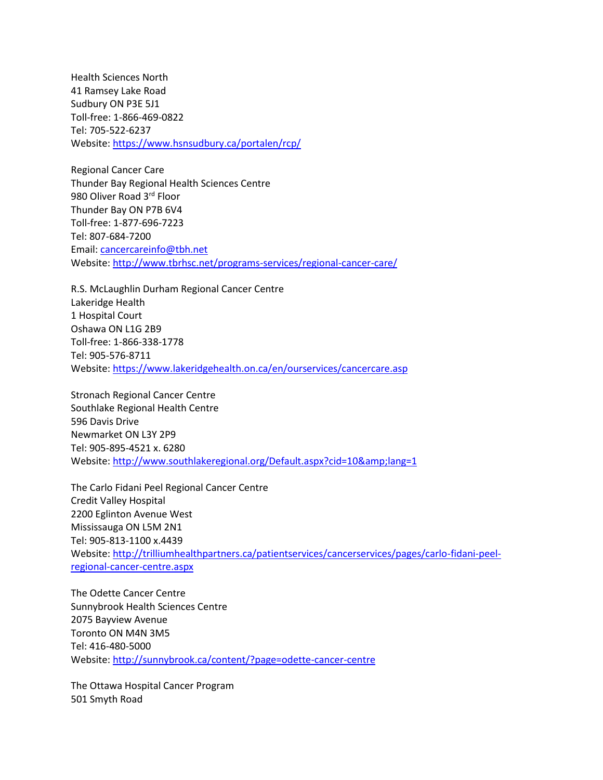Health Sciences North 41 Ramsey Lake Road Sudbury ON P3E 5J1 Toll-free: 1-866-469-0822 Tel: 705-522-6237 Website: https://www.hsnsudbury.ca/portalen/rcp/

Regional Cancer Care Thunder Bay Regional Health Sciences Centre 980 Oliver Road 3rd Floor Thunder Bay ON P7B 6V4 Toll-free: 1-877-696-7223 Tel: 807-684-7200 Email: [cancercareinfo@tbh.net](mailto:cancercareinfo@tbh.net) Website: http://www.tbrhsc.net/programs-services/regional-cancer-care/

R.S. McLaughlin Durham Regional Cancer Centre Lakeridge Health 1 Hospital Court Oshawa ON L1G 2B9 Toll-free: 1-866-338-1778 Tel: 905-576-8711 Website[: https://www.lakeridgehealth.on.ca/en/ourservices/cancercare.asp](https://www.lakeridgehealth.on.ca/en/ourservices/cancercare.asp)

Stronach Regional Cancer Centre Southlake Regional Health Centre 596 Davis Drive Newmarket ON L3Y 2P9 Tel: 905-895-4521 x. 6280 Website: http://www.southlakeregional.org/Default.aspx?cid=10&lang=1

The Carlo Fidani Peel Regional Cancer Centre Credit Valley Hospital 2200 Eglinton Avenue West Mississauga ON L5M 2N1 Tel: 905-813-1100 x.4439 Website[: http://trilliumhealthpartners.ca/patientservices/cancerservices/pages/carlo-fidani-peel](http://trilliumhealthpartners.ca/patientservices/cancerservices/pages/carlo-fidani-peel-regional-cancer-centre.aspx)[regional-cancer-centre.aspx](http://trilliumhealthpartners.ca/patientservices/cancerservices/pages/carlo-fidani-peel-regional-cancer-centre.aspx)

The Odette Cancer Centre Sunnybrook Health Sciences Centre 2075 Bayview Avenue Toronto ON M4N 3M5 Tel: 416-480-5000 Website: http://sunnybrook.ca/content/?page=odette-cancer-centre

The Ottawa Hospital Cancer Program 501 Smyth Road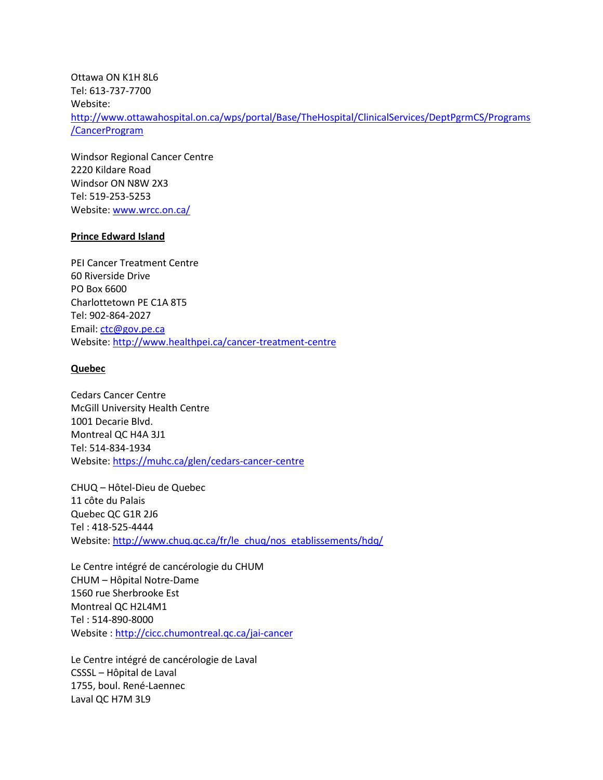Ottawa ON K1H 8L6 Tel: 613-737-7700 Website: http://www.ottawahospital.on.ca/wps/portal/Base/TheHospital/ClinicalServices/DeptPgrmCS/Programs /CancerProgram

Windsor Regional Cancer Centre 2220 Kildare Road Windsor ON N8W 2X3 Tel: 519-253-5253 Website[: www.wrcc.on.ca/](http://www.wrcc.on.ca/)

## **Prince Edward Island**

PEI Cancer Treatment Centre 60 Riverside Drive PO Box 6600 Charlottetown PE C1A 8T5 Tel: 902-864-2027 Email: [ctc@gov.pe.ca](mailto:ctc@gov.pe.ca) Website[: http://www.healthpei.ca/cancer-treatment-centre](http://www.healthpei.ca/cancer-treatment-centre)

## **Quebec**

Cedars Cancer Centre McGill University Health Centre 1001 Decarie Blvd. Montreal QC H4A 3J1 Tel: 514-834-1934 Website[: https://muhc.ca/glen/cedars-cancer-centre](https://muhc.ca/glen/cedars-cancer-centre)

CHUQ – Hôtel-Dieu de Quebec 11 côte du Palais Quebec QC G1R 2J6 Tel : 418-525-4444 Website: http://www.chuq.qc.ca/fr/le\_chuq/nos\_etablissements/hdq/

Le Centre intégré de cancérologie du CHUM CHUM – Hôpital Notre-Dame 1560 rue Sherbrooke Est Montreal QC H2L4M1 Tel : 514-890-8000 Website :<http://cicc.chumontreal.qc.ca/jai-cancer>

Le Centre intégré de cancérologie de Laval CSSSL – Hôpital de Laval 1755, boul. René-Laennec Laval QC H7M 3L9